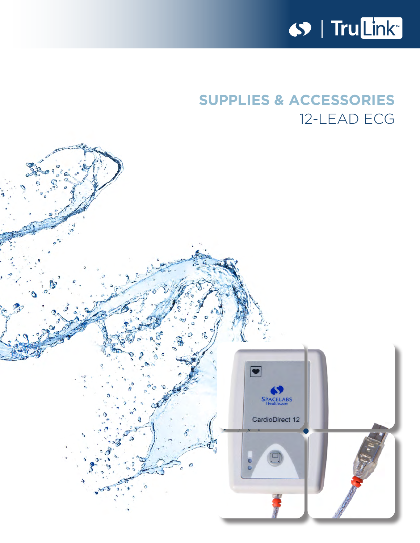

# **SUPPLIES & ACCESSORIES** 12-LEAD ECG

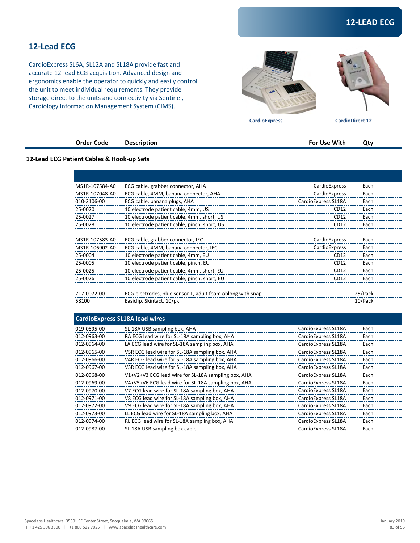## **12-Lead ECG**

CardioExpress SL6A, SL12A and SL18A provide fast and accurate 12-lead ECG acquisition. Advanced design and ergonomics enable the operator to quickly and easily control the unit to meet individual requirements. They provide storage direct to the units and connectivity via Sentinel, Cardiology Information Management System (CIMS).





 **CardioExpress CardioDirect 12** 

|                                           | <b>Order Code</b> | <b>Description</b> | For Use With | Qty |
|-------------------------------------------|-------------------|--------------------|--------------|-----|
| 12-Lead ECG Patient Cables & Hook-up Sets |                   |                    |              |     |
|                                           |                   |                    |              |     |

| MS1R-107584-A0       | ECG cable, grabber connector, AHA                                                       | CardioExpress       | Each               |
|----------------------|-----------------------------------------------------------------------------------------|---------------------|--------------------|
| MS1R-107048-A0       | ECG cable, 4MM, banana connector, AHA                                                   | CardioExpress       | Each               |
| 010-2106-00          | ECG cable, banana plugs, AHA                                                            | CardioExpress SL18A | Each               |
| 25-0020              | 10 electrode patient cable, 4mm, US                                                     | CD12                | Each               |
| 25-0027              | 10 electrode patient cable, 4mm, short, US                                              | CD12                | Each               |
| 25-0028              | 10 electrode patient cable, pinch, short, US                                            | CD12                | Each               |
| MS1R-107583-A0       | ECG cable, grabber connector, IEC                                                       | CardioExpress       | Each               |
| MS1R-106902-A0       | ECG cable, 4MM, banana connector, IEC                                                   | CardioExpress       | Each               |
| 25-0004              | 10 electrode patient cable, 4mm, EU                                                     | CD12                | Each               |
| 25-0005              | 10 electrode patient cable, pinch, EU                                                   | CD12                | Each               |
| 25-0025              | 10 electrode patient cable, 4mm, short, EU                                              | CD12                | Each               |
| 25-0026              | 10 electrode patient cable, pinch, short, EU                                            | CD12                | Each               |
| 717-0072-00<br>58100 | ECG electrodes, blue sensor T, adult foam oblong with snap<br>Easiclip, Skintact, 10/pk |                     | 25/Pack<br>10/Pack |
|                      | <b>CardioExpress SL18A lead wires</b>                                                   |                     |                    |
| 019-0895-00          | SL-18A USB sampling box, AHA                                                            | CardioExpress SL18A | Each               |
| 012-0963-00          | RA ECG lead wire for SL-18A sampling box, AHA                                           | CardioExpress SL18A | Each               |
| 012-0964-00          | LA ECG lead wire for SL-18A sampling box, AHA                                           | CardioExpress SL18A | Each               |
| 012-0965-00          | V5R ECG lead wire for SL-18A sampling box, AHA                                          | CardioExpress SL18A | Each               |
| 012-0966-00          | V4R ECG lead wire for SL-18A sampling box, AHA                                          | CardioExpress SL18A | Each               |
| 012-0967-00          | V3R ECG lead wire for SL-18A sampling box, AHA                                          | CardioExpress SL18A | Each               |
| 012-0968-00          | V1+V2+V3 ECG lead wire for SL-18A sampling box, AHA                                     | CardioExpress SL18A | Each               |
| 012-0969-00          | V4+V5+V6 ECG lead wire for SL-18A sampling box, AHA                                     | CardioExpress SL18A | Each               |
| 012-0970-00          | V7 ECG lead wire for SL-18A sampling box, AHA                                           | CardioExpress SL18A | Each               |
| 012-0971-00          | V8 ECG lead wire for SL-18A sampling box, AHA                                           | CardioExpress SL18A | Each               |
| 012-0972-00          | V9 ECG lead wire for SL-18A sampling box, AHA                                           | CardioExpress SL18A | Each               |
| 012-0973-00          | LL ECG lead wire for SL-18A sampling box, AHA                                           | CardioExpress SL18A | Each               |

012-0974-00 RL ECG lead wire for SL-18A sampling box, AHA CardioExpress SL18A Each 012-0987-00 SL-18A USB sampling box cable CardioExpress SL18A Each